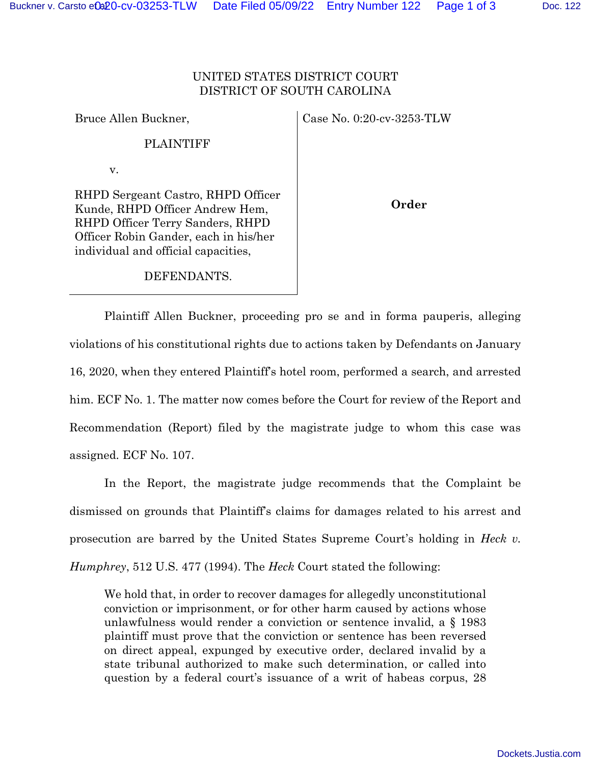Case No. 0:20-cv-3253-TLW

PLAINTIFF

v.

Bruce Allen Buckner,

RHPD Sergeant Castro, RHPD Officer Kunde, RHPD Officer Andrew Hem, RHPD Officer Terry Sanders, RHPD Officer Robin Gander, each in his/her individual and official capacities,

**Order** 

## DEFENDANTS.

 Plaintiff Allen Buckner, proceeding pro se and in forma pauperis, alleging violations of his constitutional rights due to actions taken by Defendants on January 16, 2020, when they entered Plaintiff's hotel room, performed a search, and arrested him. ECF No. 1. The matter now comes before the Court for review of the Report and Recommendation (Report) filed by the magistrate judge to whom this case was assigned. ECF No. 107.

 In the Report, the magistrate judge recommends that the Complaint be dismissed on grounds that Plaintiff's claims for damages related to his arrest and prosecution are barred by the United States Supreme Court's holding in *Heck v. Humphrey*, 512 U.S. 477 (1994). The *Heck* Court stated the following:

We hold that, in order to recover damages for allegedly unconstitutional conviction or imprisonment, or for other harm caused by actions whose unlawfulness would render a conviction or sentence invalid, a § 1983 plaintiff must prove that the conviction or sentence has been reversed on direct appeal, expunged by executive order, declared invalid by a state tribunal authorized to make such determination, or called into question by a federal court's issuance of a writ of habeas corpus, 28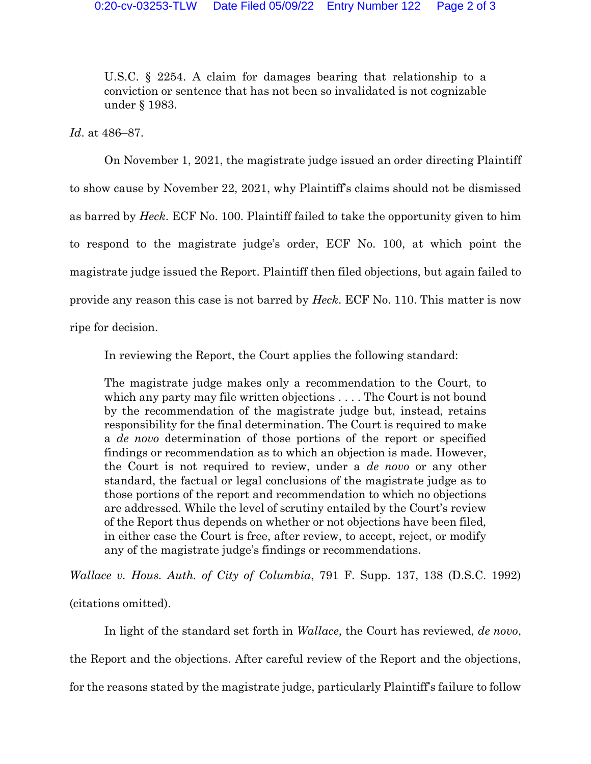U.S.C. § 2254. A claim for damages bearing that relationship to a conviction or sentence that has not been so invalidated is not cognizable under § 1983.

*Id*. at 486–87.

On November 1, 2021, the magistrate judge issued an order directing Plaintiff to show cause by November 22, 2021, why Plaintiff's claims should not be dismissed as barred by *Heck*. ECF No. 100. Plaintiff failed to take the opportunity given to him to respond to the magistrate judge's order, ECF No. 100, at which point the magistrate judge issued the Report. Plaintiff then filed objections, but again failed to provide any reason this case is not barred by *Heck*. ECF No. 110. This matter is now ripe for decision.

In reviewing the Report, the Court applies the following standard:

The magistrate judge makes only a recommendation to the Court, to which any party may file written objections . . . . The Court is not bound by the recommendation of the magistrate judge but, instead, retains responsibility for the final determination. The Court is required to make a *de novo* determination of those portions of the report or specified findings or recommendation as to which an objection is made. However, the Court is not required to review, under a *de novo* or any other standard, the factual or legal conclusions of the magistrate judge as to those portions of the report and recommendation to which no objections are addressed. While the level of scrutiny entailed by the Court's review of the Report thus depends on whether or not objections have been filed, in either case the Court is free, after review, to accept, reject, or modify any of the magistrate judge's findings or recommendations.

*Wallace v. Hous. Auth. of City of Columbia*, 791 F. Supp. 137, 138 (D.S.C. 1992)

(citations omitted).

 In light of the standard set forth in *Wallace*, the Court has reviewed, *de novo*, the Report and the objections. After careful review of the Report and the objections, for the reasons stated by the magistrate judge, particularly Plaintiff's failure to follow